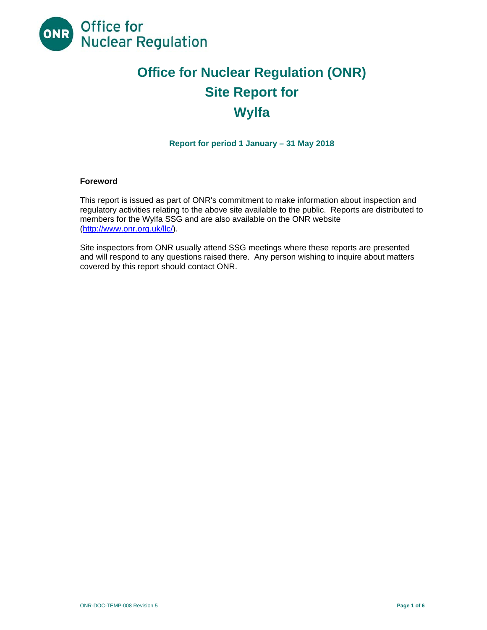

# **Office for Nuclear Regulation (ONR) Site Report for Wylfa**

**Report for period 1 January – 31 May 2018** 

#### **Foreword**

This report is issued as part of ONR's commitment to make information about inspection and regulatory activities relating to the above site available to the public. Reports are distributed to members for the Wylfa SSG and are also available on the ONR website (http://www.onr.org.uk/llc/).

Site inspectors from ONR usually attend SSG meetings where these reports are presented and will respond to any questions raised there. Any person wishing to inquire about matters covered by this report should contact ONR.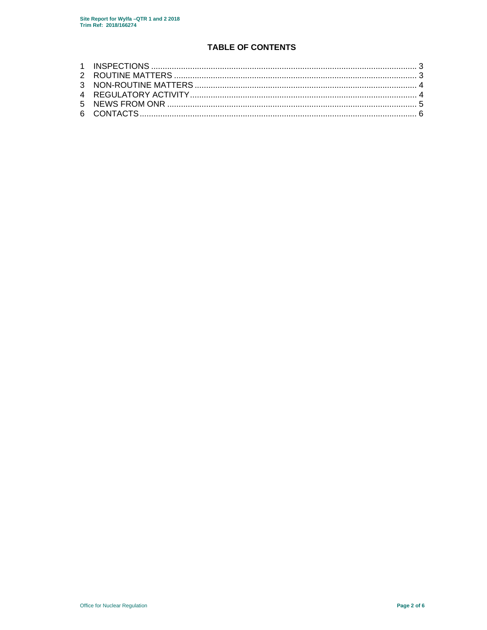# **TABLE OF CONTENTS**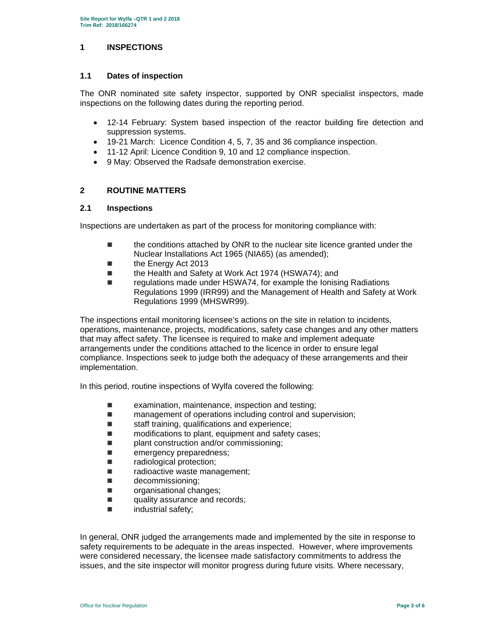## **1 INSPECTIONS**

## **1.1 Dates of inspection**

The ONR nominated site safety inspector, supported by ONR specialist inspectors, made inspections on the following dates during the reporting period.

- 12-14 February: System based inspection of the reactor building fire detection and suppression systems.
- 19-21 March: Licence Condition 4, 5, 7, 35 and 36 compliance inspection.
- 11-12 April: Licence Condition 9, 10 and 12 compliance inspection.
- 9 May: Observed the Radsafe demonstration exercise.

# **2 ROUTINE MATTERS**

## **2.1 Inspections**

Inspections are undertaken as part of the process for monitoring compliance with:

- **the conditions attached by ONR to the nuclear site licence granted under the** Nuclear Installations Act 1965 (NIA65) (as amended);
- the Energy Act 2013
- the Health and Safety at Work Act 1974 (HSWA74); and
- regulations made under HSWA74, for example the Ionising Radiations Regulations 1999 (IRR99) and the Management of Health and Safety at Work Regulations 1999 (MHSWR99).

The inspections entail monitoring licensee's actions on the site in relation to incidents, operations, maintenance, projects, modifications, safety case changes and any other matters that may affect safety. The licensee is required to make and implement adequate arrangements under the conditions attached to the licence in order to ensure legal compliance. Inspections seek to judge both the adequacy of these arrangements and their implementation.

In this period, routine inspections of Wylfa covered the following:

- $\blacksquare$  examination, maintenance, inspection and testing;
- management of operations including control and supervision;
- staff training, qualifications and experience;
- modifications to plant, equipment and safety cases;
- plant construction and/or commissioning;
- **E** emergency preparedness;
- radiological protection;
- radioactive waste management;
- **decommissioning:**
- **n** organisational changes;
- quality assurance and records;
- **n** industrial safety;

In general, ONR judged the arrangements made and implemented by the site in response to safety requirements to be adequate in the areas inspected. However, where improvements were considered necessary, the licensee made satisfactory commitments to address the issues, and the site inspector will monitor progress during future visits. Where necessary,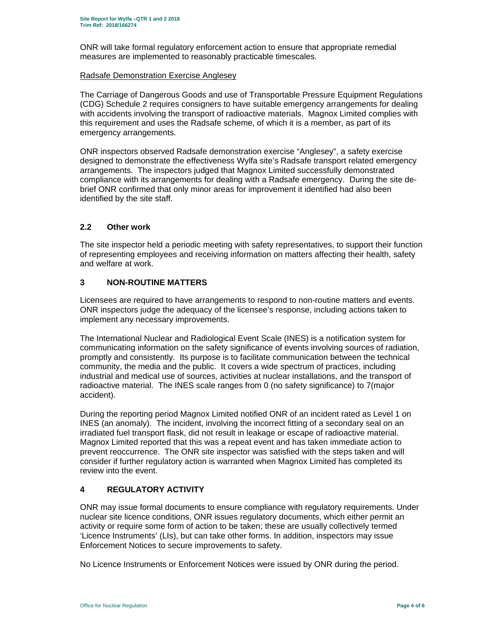ONR will take formal regulatory enforcement action to ensure that appropriate remedial measures are implemented to reasonably practicable timescales.

#### Radsafe Demonstration Exercise Anglesey

The Carriage of Dangerous Goods and use of Transportable Pressure Equipment Regulations (CDG) Schedule 2 requires consigners to have suitable emergency arrangements for dealing with accidents involving the transport of radioactive materials. Magnox Limited complies with this requirement and uses the Radsafe scheme, of which it is a member, as part of its emergency arrangements.

ONR inspectors observed Radsafe demonstration exercise "Anglesey", a safety exercise designed to demonstrate the effectiveness Wylfa site's Radsafe transport related emergency arrangements. The inspectors judged that Magnox Limited successfully demonstrated compliance with its arrangements for dealing with a Radsafe emergency. During the site debrief ONR confirmed that only minor areas for improvement it identified had also been identified by the site staff.

# **2.2 Other work**

The site inspector held a periodic meeting with safety representatives, to support their function of representing employees and receiving information on matters affecting their health, safety and welfare at work.

# **3 NON-ROUTINE MATTERS**

Licensees are required to have arrangements to respond to non-routine matters and events. ONR inspectors judge the adequacy of the licensee's response, including actions taken to implement any necessary improvements.

The International Nuclear and Radiological Event Scale (INES) is a notification system for communicating information on the safety significance of events involving sources of radiation, promptly and consistently. Its purpose is to facilitate communication between the technical community, the media and the public. It covers a wide spectrum of practices, including industrial and medical use of sources, activities at nuclear installations, and the transport of radioactive material. The INES scale ranges from 0 (no safety significance) to 7(major accident).

During the reporting period Magnox Limited notified ONR of an incident rated as Level 1 on INES (an anomaly). The incident, involving the incorrect fitting of a secondary seal on an irradiated fuel transport flask, did not result in leakage or escape of radioactive material. Magnox Limited reported that this was a repeat event and has taken immediate action to prevent reoccurrence. The ONR site inspector was satisfied with the steps taken and will consider if further regulatory action is warranted when Magnox Limited has completed its review into the event.

# **4 REGULATORY ACTIVITY**

ONR may issue formal documents to ensure compliance with regulatory requirements. Under nuclear site licence conditions, ONR issues regulatory documents, which either permit an activity or require some form of action to be taken; these are usually collectively termed 'Licence Instruments' (LIs), but can take other forms. In addition, inspectors may issue Enforcement Notices to secure improvements to safety.

No Licence Instruments or Enforcement Notices were issued by ONR during the period.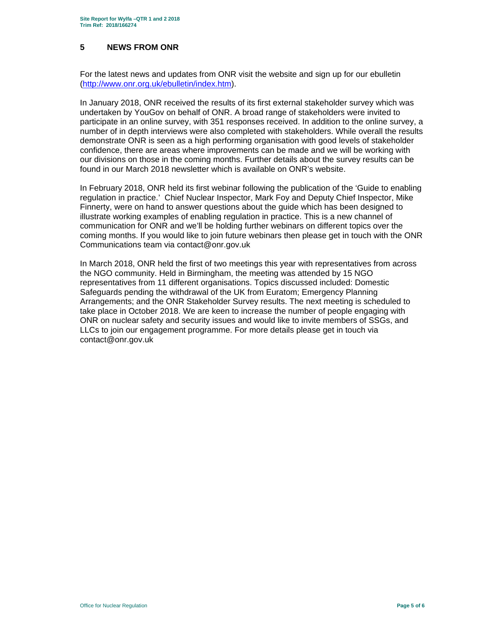# **5 NEWS FROM ONR**

For the latest news and updates from ONR visit the website and sign up for our ebulletin (http://www.onr.org.uk/ebulletin/index.htm).

In January 2018, ONR received the results of its first external stakeholder survey which was undertaken by YouGov on behalf of ONR. A broad range of stakeholders were invited to participate in an online survey, with 351 responses received. In addition to the online survey, a number of in depth interviews were also completed with stakeholders. While overall the results demonstrate ONR is seen as a high performing organisation with good levels of stakeholder confidence, there are areas where improvements can be made and we will be working with our divisions on those in the coming months. Further details about the survey results can be found in our March 2018 newsletter which is available on ONR's website.

In February 2018, ONR held its first webinar following the publication of the 'Guide to enabling regulation in practice.' Chief Nuclear Inspector, Mark Foy and Deputy Chief Inspector, Mike Finnerty, were on hand to answer questions about the guide which has been designed to illustrate working examples of enabling regulation in practice. This is a new channel of communication for ONR and we'll be holding further webinars on different topics over the coming months. If you would like to join future webinars then please get in touch with the ONR Communications team via contact@onr.gov.uk

In March 2018, ONR held the first of two meetings this year with representatives from across the NGO community. Held in Birmingham, the meeting was attended by 15 NGO representatives from 11 different organisations. Topics discussed included: Domestic Safeguards pending the withdrawal of the UK from Euratom; Emergency Planning Arrangements; and the ONR Stakeholder Survey results. The next meeting is scheduled to take place in October 2018. We are keen to increase the number of people engaging with ONR on nuclear safety and security issues and would like to invite members of SSGs, and LLCs to join our engagement programme. For more details please get in touch via contact@onr.gov.uk